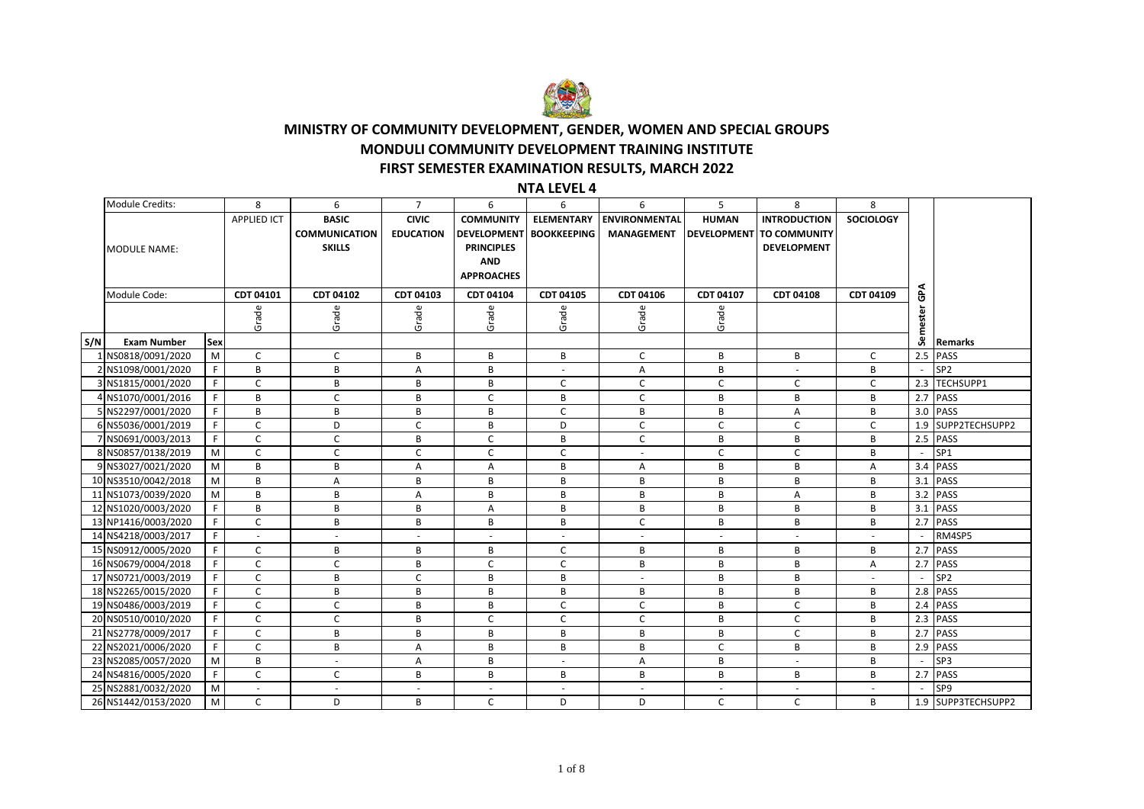

## **FIRST SEMESTER EXAMINATION RESULTS, MARCH 2022 MONDULI COMMUNITY DEVELOPMENT TRAINING INSTITUTE MINISTRY OF COMMUNITY DEVELOPMENT, GENDER, WOMEN AND SPECIAL GROUPS**

## **NTA LEVEL 4**

|     | Module Credits:     |              | 8                        | 6                    | $\overline{7}$           | 6                  | 6                        | 6                    | 5                  | 8                   | 8                |          |                    |
|-----|---------------------|--------------|--------------------------|----------------------|--------------------------|--------------------|--------------------------|----------------------|--------------------|---------------------|------------------|----------|--------------------|
|     |                     |              | <b>APPLIED ICT</b>       | <b>BASIC</b>         | <b>CIVIC</b>             | <b>COMMUNITY</b>   | <b>ELEMENTARY</b>        | <b>ENVIRONMENTAL</b> | <b>HUMAN</b>       | <b>INTRODUCTION</b> | <b>SOCIOLOGY</b> |          |                    |
|     |                     |              |                          | <b>COMMUNICATION</b> | <b>EDUCATION</b>         | <b>DEVELOPMENT</b> | <b>BOOKKEEPING</b>       | <b>MANAGEMENT</b>    | <b>DEVELOPMENT</b> | <b>TO COMMUNITY</b> |                  |          |                    |
|     | <b>MODULE NAME:</b> |              |                          | <b>SKILLS</b>        |                          | <b>PRINCIPLES</b>  |                          |                      |                    | <b>DEVELOPMENT</b>  |                  |          |                    |
|     |                     |              |                          |                      |                          | <b>AND</b>         |                          |                      |                    |                     |                  |          |                    |
|     |                     |              |                          |                      |                          | <b>APPROACHES</b>  |                          |                      |                    |                     |                  |          |                    |
|     | Module Code:        |              | CDT 04101                | CDT 04102            | CDT 04103                | CDT 04104          | CDT 04105                | CDT 04106            | CDT 04107          | <b>CDT 04108</b>    | CDT 04109        | GPA      |                    |
|     |                     |              |                          |                      |                          |                    |                          |                      |                    |                     |                  |          |                    |
|     |                     |              | Grade                    | Grade                | Grade                    | Grade              | Grade                    | Grade                | Grade              |                     |                  | Semester |                    |
| S/N | <b>Exam Number</b>  | Sex          |                          |                      |                          |                    |                          |                      |                    |                     |                  |          | Remarks            |
|     | 1 NS0818/0091/2020  | M            | C                        | $\mathsf{C}$         | B                        | B                  | В                        | C                    | B                  | B                   | C                |          | 2.5 PASS           |
|     | 2 NS1098/0001/2020  | F            | B                        | B                    | А                        | B                  | $\overline{\phantom{a}}$ | Α                    | В                  |                     | B                |          | SP <sub>2</sub>    |
|     | 3 NS1815/0001/2020  | F            | $\mathsf C$              | B                    | B                        | B                  | $\mathsf{C}$             | $\mathsf C$          | $\mathsf{C}$       | $\mathsf{C}$        | $\mathsf{C}$     |          | 2.3 TECHSUPP1      |
|     | 4 NS1070/0001/2016  | F            | B                        | $\mathsf C$          | B                        | $\mathsf C$        | B                        | $\mathsf{C}$         | B                  | B                   | В                |          | 2.7 PASS           |
|     | 5 NS2297/0001/2020  | F            | B                        | B                    | B                        | B                  | $\mathsf{C}$             | B                    | B                  | Α                   | B                |          | 3.0 PASS           |
|     | 6 NS5036/0001/2019  | F            | $\mathsf{C}$             | D                    | $\mathsf C$              | B                  | D                        | $\mathsf{C}$         | $\mathsf{C}$       | $\mathsf C$         | $\mathsf{C}$     |          | 1.9 SUPP2TECHSUPP2 |
|     | 7 NS0691/0003/2013  | F            | $\mathsf C$              | $\mathsf C$          | B                        | $\mathsf C$        | B                        | $\mathsf C$          | B                  | B                   | B                |          | 2.5 PASS           |
|     | 8 NS0857/0138/2019  | M            | $\mathsf{C}$             | $\mathsf{C}$         | C                        | C                  | $\mathsf{C}$             | $\sim$               | C                  | C                   | B                |          | SP <sub>1</sub>    |
|     | 9 NS3027/0021/2020  | M            | B                        | B                    | Α                        | $\overline{A}$     | B                        | Α                    | B                  | B                   | Α                |          | 3.4 PASS           |
|     | 10 NS3510/0042/2018 | M            | B                        | А                    | B                        | B                  | B                        | B                    | B                  | B                   | B                | 3.1      | PASS               |
|     | 11 NS1073/0039/2020 | M            | B                        | B                    | Α                        | В                  | B                        | B                    | B                  | Α                   | B                | 3.2      | PASS               |
|     | 12 NS1020/0003/2020 | F            | B                        | B                    | B                        | A                  | B                        | B                    | B                  | B                   | B                | 3.1      | <b>PASS</b>        |
|     | 13 NP1416/0003/2020 | F            | $\mathsf{C}$             | B                    | B                        | B                  | B                        | $\mathsf{C}$         | B                  | B                   | B                |          | 2.7 PASS           |
|     | 14 NS4218/0003/2017 | F            | $\overline{\phantom{a}}$ | $\sim$               | $\overline{\phantom{a}}$ | ÷.                 | ÷.                       | $\omega$             | $\sim$             | $\sim$              | $\sim$           |          | RM4SP5             |
|     | 15 NS0912/0005/2020 | F.           | C                        | B                    | B                        | B                  | C                        | B                    | B                  | B                   | в                |          | 2.7 PASS           |
|     | 16 NS0679/0004/2018 | F            | $\mathsf{C}$             | $\mathsf{C}$         | B                        | $\mathsf{C}$       | C                        | B                    | B                  | B                   | A                |          | 2.7 PASS           |
|     | 17 NS0721/0003/2019 | F            | $\mathsf{C}$             | B                    | C                        | B                  | B                        | $\blacksquare$       | B                  | B                   | $\sim$           |          | SP <sub>2</sub>    |
|     | 18 NS2265/0015/2020 | F.           | $\mathsf{C}$             | B                    | B                        | B                  | B                        | B                    | B                  | B                   | B                |          | 2.8 PASS           |
|     | 19 NS0486/0003/2019 | F.           | $\mathsf{C}$             | $\mathsf{C}$         | B                        | B                  | $\mathsf{C}$             | $\mathsf{C}$         | B                  | C                   | B                |          | 2.4 PASS           |
|     | 20 NS0510/0010/2020 | F            | $\mathsf{C}$             | $\mathsf{C}$         | B                        | $\mathsf{C}$       | $\mathsf{C}$             | $\mathsf{C}$         | B                  | $\mathsf{C}$        | B                |          | 2.3 PASS           |
|     | 21 NS2778/0009/2017 | $\mathsf{F}$ | $\mathsf C$              | B                    | B                        | B                  | B                        | B                    | B                  | $\mathsf{C}$        | B                |          | 2.7 PASS           |
|     | 22 NS2021/0006/2020 | E            | $\mathsf{C}$             | B                    | Α                        | B                  | B                        | B                    | $\mathsf C$        | B                   | B                |          | 2.9 PASS           |
|     | 23 NS2085/0057/2020 | M            | B                        | $\sim$               | Α                        | B                  | $\blacksquare$           | A                    | B                  | $\sim$              | B                |          | SP3                |
|     | 24 NS4816/0005/2020 | E            | $\mathsf C$              | $\mathsf{C}$         | B                        | В                  | В                        | B                    | B                  | B                   | B                |          | 2.7 PASS           |
|     | 25 NS2881/0032/2020 | M            | $\overline{a}$           | $\sim$               | $\sim$                   | ÷                  | ÷                        | $\sim$               | $\sim$             | $\sim$              | $\sim$           |          | SP9                |
|     | 26 NS1442/0153/2020 | M            | $\mathsf{C}$             | D                    | B                        | $\mathsf{C}$       | D                        | D                    | C                  | C                   | B                |          | 1.9 SUPP3TECHSUPP2 |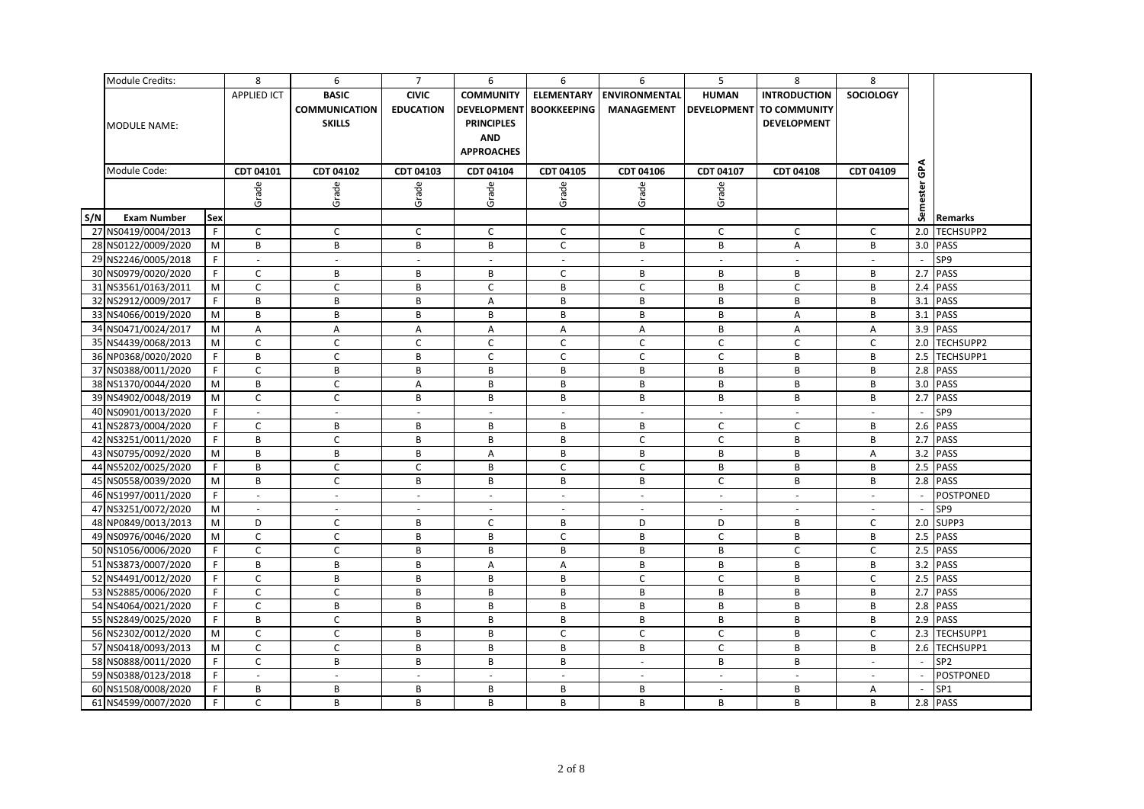|     | <b>Module Credits:</b> |             | 8                  | 6                    | $\overline{7}$           | 6                  | 6                  | 6                    | 5              | 8                        | 8                |                |                  |
|-----|------------------------|-------------|--------------------|----------------------|--------------------------|--------------------|--------------------|----------------------|----------------|--------------------------|------------------|----------------|------------------|
|     |                        |             | <b>APPLIED ICT</b> | <b>BASIC</b>         | <b>CIVIC</b>             | <b>COMMUNITY</b>   | <b>ELEMENTARY</b>  | <b>ENVIRONMENTAL</b> | <b>HUMAN</b>   | <b>INTRODUCTION</b>      | <b>SOCIOLOGY</b> |                |                  |
|     |                        |             |                    | <b>COMMUNICATION</b> | <b>EDUCATION</b>         | <b>DEVELOPMENT</b> | <b>BOOKKEEPING</b> | <b>MANAGEMENT</b>    |                | DEVELOPMENT TO COMMUNITY |                  |                |                  |
|     | <b>MODULE NAME:</b>    |             |                    | <b>SKILLS</b>        |                          | <b>PRINCIPLES</b>  |                    |                      |                | <b>DEVELOPMENT</b>       |                  |                |                  |
|     |                        |             |                    |                      |                          | <b>AND</b>         |                    |                      |                |                          |                  |                |                  |
|     |                        |             |                    |                      |                          | <b>APPROACHES</b>  |                    |                      |                |                          |                  |                |                  |
|     |                        |             |                    |                      |                          |                    |                    |                      |                |                          |                  | GPA            |                  |
|     | Module Code:           |             | CDT 04101          | CDT 04102            | CDT 04103                | CDT 04104          | CDT 04105          | CDT 04106            | CDT 04107      | <b>CDT 04108</b>         | CDT 04109        |                |                  |
|     |                        |             | Grade              | Grade                | Grade                    | Grade              | Grade              | Grade                | Grade          |                          |                  | ester          |                  |
|     |                        |             |                    |                      |                          |                    |                    |                      |                |                          |                  |                |                  |
| S/N | <b>Exam Number</b>     | Sex         |                    |                      |                          |                    |                    |                      |                |                          |                  | Sem            | Remarks          |
|     | 27 NS0419/0004/2013    | F           | $\mathsf{C}$       | $\mathsf{C}$         | C                        | $\mathsf{C}$       | $\mathsf{C}$       | $\mathsf{C}$         | $\mathsf{C}$   | $\mathsf{C}$             | C                | 2.0            | TECHSUPP2        |
|     | 28 NS0122/0009/2020    | M           | B                  | B                    | B                        | B                  | $\mathsf{C}$       | В                    | B              | A                        | B                |                | 3.0 PASS         |
|     | 29 NS2246/0005/2018    | F.          |                    | $\sim$               |                          |                    |                    | $\blacksquare$       | $\mathbf{r}$   |                          |                  |                | SP9              |
|     | 30 NS0979/0020/2020    | $\mathsf F$ | $\mathsf C$        | B                    | B                        | B                  | $\mathsf C$        | B                    | B              | В                        | В                | 2.7            | <b>PASS</b>      |
|     | 31 NS3561/0163/2011    | M           | $\mathsf{C}$       | $\mathsf{C}$         | B                        | $\mathsf{C}$       | B                  | C                    | B              | $\mathsf{C}$             | B                | 2.4            | PASS             |
|     | 32 NS2912/0009/2017    | $\mathsf F$ | $\, {\bf B}$       | B                    | B                        | А                  | B                  | B                    | B              | B                        | B                | 3.1            | <b>PASS</b>      |
|     | 33 NS4066/0019/2020    | ${\sf M}$   | $\, {\bf B}$       | В                    | B                        | B                  | $\, {\sf B}$       | В                    | В              | A                        | B                |                | 3.1 PASS         |
|     | 34 NS0471/0024/2017    | M           | A                  | A                    | Α                        | A                  | A                  | A                    | B              | A                        | A                |                | 3.9 PASS         |
|     | 35 NS4439/0068/2013    | M           | $\mathsf{C}$       | $\mathsf{C}$         | $\mathsf{C}$             | $\mathsf{C}$       | $\mathsf{C}$       | $\mathsf C$          | $\mathsf{C}$   | $\mathsf{C}$             | $\mathsf{C}$     |                | 2.0 TECHSUPP2    |
|     | 36 NP0368/0020/2020    | F.          | B                  | C                    | B                        | C                  | C                  | C                    | $\mathsf{C}$   | B                        | B                |                | 2.5 TECHSUPP1    |
|     | 37 NS0388/0011/2020    | F.          | $\mathsf{C}$       | B                    | B                        | B                  | B                  | B                    | B              | B                        | B                |                | 2.8 PASS         |
|     | 38 NS1370/0044/2020    | ${\sf M}$   | B                  | $\mathsf{C}$         | A                        | B                  | B                  | B                    | B              | B                        | B                |                | 3.0 PASS         |
|     | 39 NS4902/0048/2019    | M           | $\mathsf{C}$       | $\mathsf{C}$         | B                        | B                  | B                  | B                    | B              | B                        | B                |                | 2.7 PASS         |
|     | 40 NS0901/0013/2020    | F.          | $\omega$           | $\sim$               | $\sim$                   | $\omega$           | $\sim$             | $\omega$             | $\omega$       | $\sim$                   | $\sim$           |                | SP9              |
|     | 41 NS2873/0004/2020    | F.          | C                  | В                    | B                        | B                  | B                  | В                    | $\mathsf{C}$   | C                        | В                |                | 2.6 PASS         |
|     | 42 NS3251/0011/2020    | F.          | B                  | $\mathsf{C}$         | B                        | В                  | B                  | $\mathsf{C}$         | $\mathsf C$    | B                        | B                | 2.7            | PASS             |
|     | 43 NS0795/0092/2020    | M           | B                  | B                    | B                        | A                  | B                  | B                    | B              | B                        | A                |                | 3.2 PASS         |
|     | 44 NS5202/0025/2020    | F.          | B                  | C                    | C                        | B                  | $\mathsf{C}$       | $\mathsf{C}$         | B              | В                        | в                |                | 2.5 PASS         |
|     | 45 NS0558/0039/2020    | M           | B                  | $\mathsf{C}$         | B                        | B                  | $\,$ B             | B                    | $\mathsf C$    | B                        | B                |                | 2.8 PASS         |
|     | 46 NS1997/0011/2020    | F           | $\sim$             | $\sim$               | $\sim$                   | $\sim$             | $\sim$             | $\sim$               | $\sim$         | $\sim$                   | $\sim$           | $\sim$         | <b>POSTPONED</b> |
|     | 47 NS3251/0072/2020    | M           | $\sim$             | $\sim$               | $\sim$                   | $\sim$             | $\overline{a}$     | $\sim$               | $\sim$         | $\sim$                   |                  |                | SP9              |
|     | 48 NP0849/0013/2013    | M           | D                  | $\mathsf{C}$         | B                        | C                  | B                  | D                    | D              | В                        | $\mathsf{C}$     |                | 2.0 SUPP3        |
|     | 49 NS0976/0046/2020    | M           | $\mathsf C$        | $\mathsf{C}$         | B                        | B                  | $\mathsf C$        | В                    | $\mathsf C$    | B                        | B                |                | 2.5 PASS         |
|     | 50 NS1056/0006/2020    | F           | $\mathsf{C}$       | $\mathsf{C}$         | B                        | B                  | B                  | B                    | B              | $\mathsf{C}$             | $\mathsf{C}$     |                | 2.5 PASS         |
|     | 51 NS3873/0007/2020    | F.          | B                  | B                    | B                        | A                  | $\overline{A}$     | B                    | B              | B                        | B                |                | 3.2 PASS         |
|     | 52 NS4491/0012/2020    | F           | $\mathsf{C}$       | B                    | B                        | B                  | B                  | $\mathsf C$          | $\mathsf{C}$   | B                        | C                |                | 2.5 PASS         |
|     | 53 NS2885/0006/2020    | F.          | $\mathsf C$        | $\mathsf{C}$         | B                        | B                  | $\, {\bf B}$       | B                    | B              | B                        | B                |                | 2.7 PASS         |
|     | 54 NS4064/0021/2020    | $\mathsf F$ | $\mathsf C$        | B                    | B                        | B                  | B                  | $\, {\bf B} \,$      | B              | B                        | B                | 2.8            | PASS             |
|     | 55 NS2849/0025/2020    | F           | $\, {\bf B}$       | $\mathsf{C}$         | B                        | B                  | $\,$ B             | B                    | B              | B                        | B                |                | 2.9 PASS         |
|     | 56 NS2302/0012/2020    | M           | $\mathsf{C}$       | $\mathsf{C}$         | B                        | B                  | $\mathsf{C}$       | $\mathsf{C}$         | $\mathsf C$    | B                        | $\mathsf{C}$     |                | 2.3 TECHSUPP1    |
|     | 57 NS0418/0093/2013    | M           | $\mathsf C$        | $\mathsf{C}$         | B                        | B                  | B                  | В                    | $\mathsf{C}$   | В                        | В                |                | 2.6 TECHSUPP1    |
|     | 58 NS0888/0011/2020    | F.          | $\mathsf C$        | В                    | B                        | B                  | B                  | $\sim$               | В              | В                        | $\sim$           | $\sim$         | SP <sub>2</sub>  |
|     | 59 NS0388/0123/2018    | F.          | $\omega$           | $\mathbb{Z}^+$       | $\overline{\phantom{a}}$ | L.                 | $\overline{a}$     | $\omega$             | $\omega$       | $\mathbb{Z}$             | $\omega$         |                | <b>POSTPONED</b> |
|     | 60 NS1508/0008/2020    | F           | B                  | B                    | B                        | B                  | B                  | B                    | $\blacksquare$ | В                        | Α                | $\overline{a}$ | SP <sub>1</sub>  |
|     | 61 NS4599/0007/2020    | F           | $\mathsf{C}$       | B                    | B                        | В                  | B                  | B                    | B              | B                        | B                |                | 2.8 PASS         |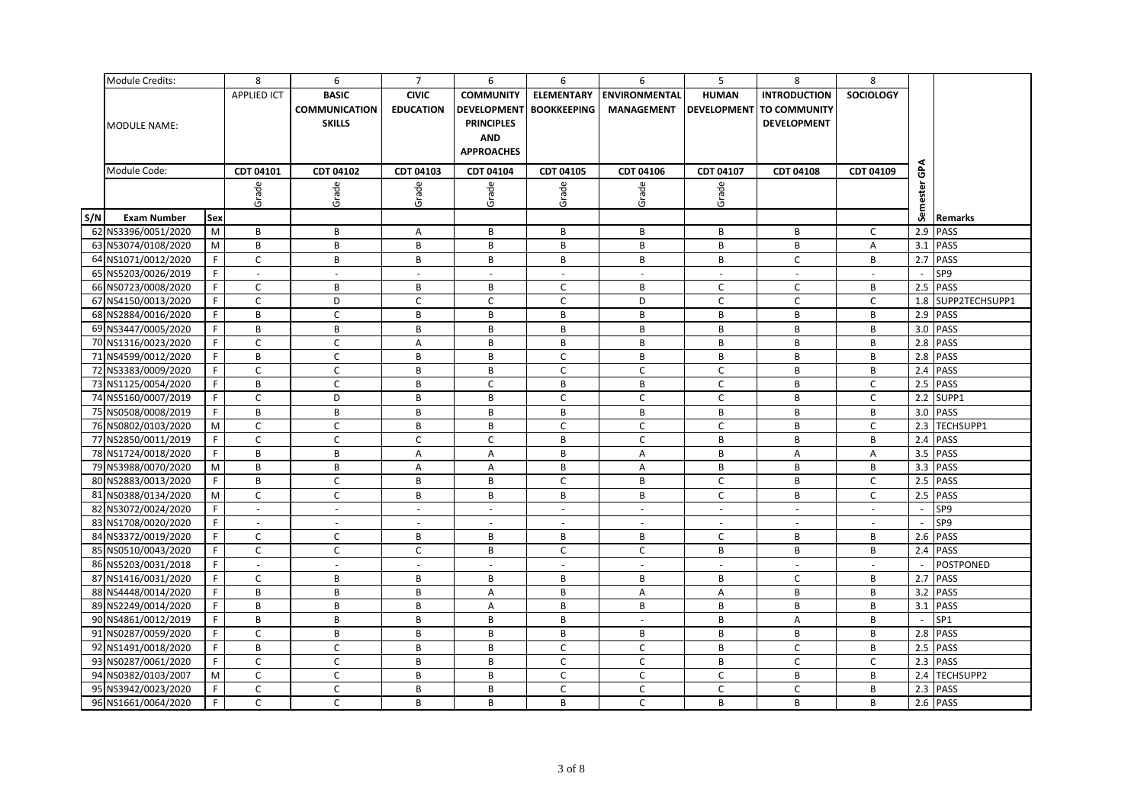|     | <b>Module Credits:</b> |             | 8                           | 6                           | $\overline{7}$            | 6                        | 6                        | 6                         | 5                        | 8                   | 8                |        |                    |
|-----|------------------------|-------------|-----------------------------|-----------------------------|---------------------------|--------------------------|--------------------------|---------------------------|--------------------------|---------------------|------------------|--------|--------------------|
|     |                        |             | <b>APPLIED ICT</b>          | <b>BASIC</b>                | <b>CIVIC</b>              | <b>COMMUNITY</b>         | <b>ELEMENTARY</b>        | <b>ENVIRONMENTAL</b>      | <b>HUMAN</b>             | <b>INTRODUCTION</b> | <b>SOCIOLOGY</b> |        |                    |
|     |                        |             |                             | <b>COMMUNICATION</b>        | <b>EDUCATION</b>          | <b>DEVELOPMENT</b>       | <b>BOOKKEEPING</b>       | <b>MANAGEMENT</b>         | <b>DEVELOPMENT</b>       | <b>TO COMMUNITY</b> |                  |        |                    |
|     | <b>MODULE NAME:</b>    |             |                             | <b>SKILLS</b>               |                           | <b>PRINCIPLES</b>        |                          |                           |                          | <b>DEVELOPMENT</b>  |                  |        |                    |
|     |                        |             |                             |                             |                           | <b>AND</b>               |                          |                           |                          |                     |                  |        |                    |
|     |                        |             |                             |                             |                           | <b>APPROACHES</b>        |                          |                           |                          |                     |                  |        |                    |
|     |                        |             |                             |                             |                           |                          |                          |                           |                          |                     |                  |        |                    |
|     | Module Code:           |             | CDT 04101                   | CDT 04102                   | CDT 04103                 | CDT 04104                | CDT 04105                | CDT 04106                 | CDT 04107                | <b>CDT 04108</b>    | CDT 04109        | GPA    |                    |
|     |                        |             | Grade                       | Grade                       | Grade                     | Grade                    | Grade                    | Grade                     | Grade                    |                     |                  | lester |                    |
|     |                        |             |                             |                             |                           |                          |                          |                           |                          |                     |                  |        |                    |
| S/N | <b>Exam Number</b>     | Sex         |                             |                             |                           |                          |                          |                           |                          |                     |                  | Sem    | Remarks            |
|     | 62 NS3396/0051/2020    | M           | B                           | B                           | A                         | B                        | B                        | B                         | B                        | B                   | $\mathsf{C}$     | 2.9    | PASS               |
|     | 63 NS3074/0108/2020    | M           | B                           | B                           | B                         | B                        | B                        | B                         | B                        | B                   | Α                |        | 3.1 PASS           |
|     | 64 NS1071/0012/2020    | F.          | $\mathsf C$                 | B                           | B                         | В                        | B                        | B                         | B                        | $\mathsf C$         | B                |        | 2.7 PASS           |
|     | 65 NS5203/0026/2019    | F           | $\omega$                    | $\sim$                      | $\sim$                    | $\sim$                   | $\omega$                 | $\sim$                    | $\sim$                   | $\sim$              | $\sim$           | $\sim$ | SP9                |
|     | 66 NS0723/0008/2020    | F           | $\mathsf C$                 | B                           | B                         | B                        | $\mathsf C$              | B                         | $\mathsf{C}$             | $\mathsf{C}$        | В                |        | $2.5$ PASS         |
|     | 67 NS4150/0013/2020    | F           | $\mathsf{C}$                | D                           | $\mathsf{C}$              | $\overline{C}$           | $\mathsf{C}$             | D                         | $\mathsf C$              | $\mathsf C$         | $\mathsf{C}$     |        | 1.8 SUPP2TECHSUPP1 |
|     | 68 NS2884/0016/2020    | F.          | B                           | $\mathsf C$                 | B                         | В                        | B                        | B                         | B                        | B                   | В                |        | 2.9 PASS           |
|     | 69 NS3447/0005/2020    | F           | B                           | B                           | B                         | B                        | B                        | $\, {\bf B} \,$           | B                        | B                   | B                |        | 3.0 PASS           |
|     | 70 NS1316/0023/2020    | F.          | $\mathsf C$                 | $\mathsf C$                 | A                         | B                        | B                        | B                         | B                        | B                   | В                |        | 2.8 PASS           |
|     | 71 NS4599/0012/2020    | F.          | B                           | $\mathsf C$                 | B                         | B                        | C                        | B                         | B                        | B                   | B                |        | 2.8 PASS           |
|     | 72 NS3383/0009/2020    | F.          | $\mathsf C$                 | $\mathsf C$                 | B                         | B                        | $\mathsf{C}$             | $\mathsf C$               | $\mathsf C$              | B                   | B                |        | 2.4 PASS           |
|     | 73 NS1125/0054/2020    | F           | B                           | $\mathsf{C}$                | B                         | $\mathsf{C}$             | B                        | B                         | $\mathsf C$              | B                   | $\mathsf{C}$     |        | 2.5 PASS           |
|     | 74 NS5160/0007/2019    | F.          | $\mathsf C$                 | D                           | B                         | B                        | $\mathsf{C}$             | $\mathsf{C}$              | $\mathsf{C}$             | B                   | $\mathsf{C}$     |        | 2.2 SUPP1          |
|     | 75 NS0508/0008/2019    | F           | B                           | B                           | B                         | В                        | B                        | B                         | B                        | B                   | В                |        | 3.0 PASS           |
|     | 76 NS0802/0103/2020    | ${\sf M}$   | $\mathsf C$                 | $\mathsf C$                 | B                         | B                        | $\mathsf C$              | $\mathsf C$               | $\mathsf C$              | B                   | $\mathsf C$      |        | 2.3 TECHSUPP1      |
|     | 77 NS2850/0011/2019    | F           | $\mathsf{C}$                | $\mathsf{C}$                | $\mathsf{C}$              | $\mathsf{C}$             | B                        | $\mathsf{C}$              | B                        | B                   | B                |        | 2.4 PASS           |
|     | 78 NS1724/0018/2020    | $\mathsf F$ | B                           | B                           | $\boldsymbol{\mathsf{A}}$ | A                        | B                        | $\boldsymbol{\mathsf{A}}$ | B                        | A                   | А                |        | 3.5 PASS           |
|     | 79 NS3988/0070/2020    | M           | B                           | B                           | A                         | A                        | B                        | A                         | B                        | B                   | B                |        | 3.3 PASS           |
|     | 80 NS2883/0013/2020    | F           | B                           | $\mathsf{C}$                | B                         | B                        | $\mathsf{C}$             | B                         | $\mathsf{C}$             | B                   | $\mathsf{C}$     |        | 2.5 PASS           |
|     | 81 NS0388/0134/2020    | M           | $\mathsf C$                 | $\mathsf{C}$                | B                         | В                        | B                        | B                         | $\mathsf C$              | B                   | $\mathsf{C}$     |        | 2.5 PASS           |
|     | 82 NS3072/0024/2020    | F           | $\mathcal{L}_{\mathcal{A}}$ | $\mathcal{L}_{\mathcal{A}}$ | $\sim$                    | $\blacksquare$           | $\sim$                   | $\overline{\phantom{a}}$  | $\blacksquare$           | $\sim$              | $\sim$           |        | SP9                |
|     | 83 NS1708/0020/2020    | F.          | $\sim$                      | $\sim$                      | $\sim$                    | $\overline{\phantom{a}}$ | $\overline{\phantom{a}}$ | $\overline{\phantom{a}}$  | $\overline{\phantom{a}}$ | $\sim$              | $\sim$           |        | SP9                |
|     | 84 NS3372/0019/2020    | F.          | $\mathsf C$                 | $\mathsf C$                 | B                         | B                        | B                        | B                         | $\mathsf C$              | B                   | B                |        | 2.6 PASS           |
|     | 85 NS0510/0043/2020    | F.          | $\mathsf{C}$                | $\mathsf{C}$                | C                         | B                        | $\mathsf{C}$             | $\mathsf{C}$              | B                        | B                   | B                |        | 2.4 PASS           |
|     | 86 NS5203/0031/2018    | F.          | $\sim$                      | $\sim$                      | $\sim$                    | $\sim$                   | $\omega$                 | $\omega$                  | $\sim$                   | $\sim$              | $\sim$           |        | <b>POSTPONED</b>   |
|     | 87 NS1416/0031/2020    | F.          | $\mathsf{C}$                | B                           | B                         | В                        | B                        | B                         | B                        | C                   | В                | 2.7    | <b>PASS</b>        |
|     | 88 NS4448/0014/2020    | F.          | $\, {\bf B}$                | B                           | B                         | A                        | B                        | $\boldsymbol{\mathsf{A}}$ | A                        | B                   | B                |        | 3.2 PASS           |
|     | 89 NS2249/0014/2020    | F.          | B                           | B                           | B                         | A                        | B                        | B                         | B                        | B                   | B                |        | 3.1 PASS           |
|     | 90 NS4861/0012/2019    | F.          | B                           | B                           | B                         | B                        | B                        | $\sim$                    | B                        | А                   | B                |        | SP <sub>1</sub>    |
|     | 91 NS0287/0059/2020    | F.          | $\mathsf{C}$                | B                           | B                         | B                        | B                        | B                         | B                        | B                   | B                |        | 2.8 PASS           |
|     | 92 NS1491/0018/2020    | F.          | B                           | $\mathsf C$                 | В                         | B                        | $\mathsf C$              | C                         | B                        | $\mathsf C$         | B                | 2.5    | PASS               |
|     | 93 NS0287/0061/2020    | F           | $\mathsf C$                 | $\mathsf{C}$                | B                         | B                        | $\mathsf{C}$             | $\mathsf{C}$              | B                        | $\mathsf{C}$        | $\mathsf{C}$     |        | 2.3 PASS           |
|     | 94 NS0382/0103/2007    | M           | $\mathsf C$                 | $\mathsf C$                 | B                         | B                        | $\mathsf C$              | $\mathsf C$               | $\mathsf C$              | B                   | B                | 2.4    | TECHSUPP2          |
|     | 95 NS3942/0023/2020    | F.          | $\mathsf C$                 | $\mathsf{C}$                | B                         | B                        | $\mathsf{C}$             | $\mathsf{C}$              | $\mathsf{C}$             | $\mathsf C$         | B                |        | 2.3 PASS           |
|     | 96 NS1661/0064/2020    | F           | $\mathsf{C}$                | $\mathsf{C}$                | B                         | B                        | B                        | $\mathsf{C}$              | B                        | B                   | B                |        | $2.6$ PASS         |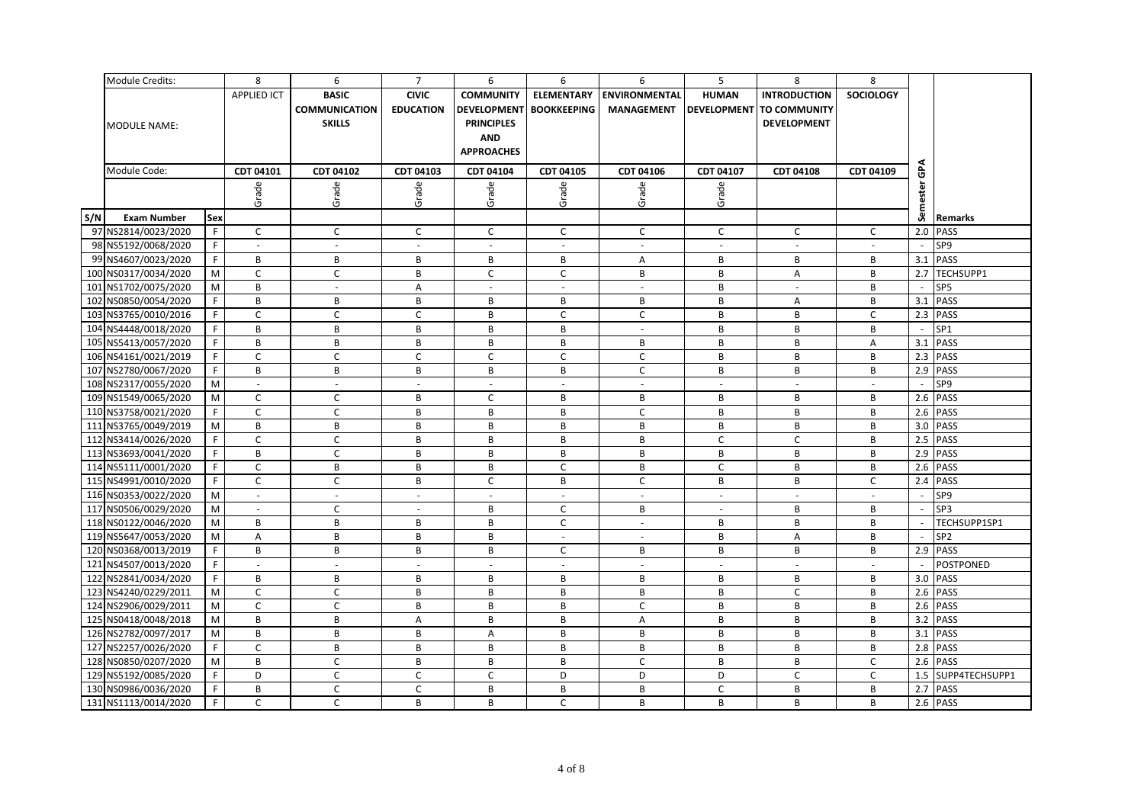|     | Module Credits:      |             | 8                  | 6                    | $\overline{7}$   | 6                  | 6                  | 6                           | 5            | 8                        | 8                |                          |                  |
|-----|----------------------|-------------|--------------------|----------------------|------------------|--------------------|--------------------|-----------------------------|--------------|--------------------------|------------------|--------------------------|------------------|
|     |                      |             | <b>APPLIED ICT</b> | <b>BASIC</b>         | <b>CIVIC</b>     | <b>COMMUNITY</b>   | <b>ELEMENTARY</b>  | <b>ENVIRONMENTAL</b>        | <b>HUMAN</b> | <b>INTRODUCTION</b>      | <b>SOCIOLOGY</b> |                          |                  |
|     |                      |             |                    | <b>COMMUNICATION</b> | <b>EDUCATION</b> | <b>DEVELOPMENT</b> | <b>BOOKKEEPING</b> | <b>MANAGEMENT</b>           |              | DEVELOPMENT TO COMMUNITY |                  |                          |                  |
|     | <b>MODULE NAME:</b>  |             |                    | <b>SKILLS</b>        |                  | <b>PRINCIPLES</b>  |                    |                             |              | <b>DEVELOPMENT</b>       |                  |                          |                  |
|     |                      |             |                    |                      |                  | <b>AND</b>         |                    |                             |              |                          |                  |                          |                  |
|     |                      |             |                    |                      |                  | <b>APPROACHES</b>  |                    |                             |              |                          |                  |                          |                  |
|     | Module Code:         |             |                    |                      |                  |                    |                    |                             |              |                          |                  |                          |                  |
|     |                      |             | CDT 04101          | CDT 04102            | CDT 04103        | CDT 04104          | CDT 04105          | CDT 04106                   | CDT 04107    | <b>CDT 04108</b>         | CDT 04109        | ဇ                        |                  |
|     |                      |             | Grade              | Grade                | Grade            | Grade              | Grade              | Grade                       | Grade        |                          |                  | ester                    |                  |
|     |                      |             |                    |                      |                  |                    |                    |                             |              |                          |                  |                          |                  |
| S/N | <b>Exam Number</b>   | Sex         |                    |                      |                  |                    |                    |                             |              |                          |                  | Sem                      | Remarks          |
|     | 97 NS2814/0023/2020  | F.          | $\mathsf{C}$       | $\mathsf{C}$         | $\mathsf{C}$     | C                  | $\mathsf{C}$       | $\mathsf{C}$                | $\mathsf{C}$ | $\mathsf{C}$             | C                | 2.0                      | <b>PASS</b>      |
|     | 98 NS5192/0068/2020  | F.          | $\sim$             | $\sim$               | $\sim$           | $\omega$           | $\sim$             | $\sim$                      | $\omega$     | $\sim$                   |                  | $\overline{\phantom{a}}$ | SP9              |
|     | 99 NS4607/0023/2020  | F.          | B                  | В                    | В                | В                  | B                  | A                           | В            | В                        | в                |                          | 3.1 PASS         |
|     | 100 NS0317/0034/2020 | M           | $\mathsf{C}$       | $\mathsf{C}$         | B                | C                  | $\mathsf C$        | В                           | B            | A                        | В                | 2.7                      | TECHSUPP1        |
|     | 101 NS1702/0075/2020 | M           | B                  | $\sim$               | Α                | $\omega$           | $\sim$             | $\blacksquare$              | B            | $\omega$                 | B                |                          | SP5              |
|     | 102 NS0850/0054/2020 | F.          | B                  | B                    | B                | B                  | B                  | В                           | B            | A                        | B                |                          | 3.1 PASS         |
|     | 103 NS3765/0010/2016 | F.          | $\mathsf{C}$       | C                    | C                | В                  | C                  | $\mathsf{C}$                | B            | В                        | C                |                          | 2.3 PASS         |
|     | 104 NS4448/0018/2020 | F.          | B                  | В                    | B                | B                  | B                  | $\sim$                      | B            | В                        | в                | $\sim$                   | SP <sub>1</sub>  |
|     | 105 NS5413/0057/2020 | F.          | B                  | B                    | B                | B                  | B                  | B                           | B            | B                        | A                |                          | 3.1 PASS         |
|     | 106 NS4161/0021/2019 | F.          | C                  | C                    | C                | C                  | C                  | $\mathsf{C}$                | В            | В                        | в                |                          | 2.3 PASS         |
|     | 107 NS2780/0067/2020 | $\mathsf F$ | B                  | B                    | B                | B                  | B                  | $\mathsf C$                 | B            | В                        | В                |                          | 2.9 PASS         |
|     | 108 NS2317/0055/2020 | M           | $\sim$             | $\sim$               | $\sim$           | $\omega$           | $\sim$             | $\mathcal{L}_{\mathcal{A}}$ | $\sim$       | $\sim$                   | $\sim$           | $\sim$                   | SP9              |
|     | 109 NS1549/0065/2020 | M           | C                  | $\mathsf{C}$         | B                | C                  | B                  | B                           | B            | В                        | B                |                          | 2.6 PASS         |
|     | 110 NS3758/0021/2020 | F.          | $\mathsf C$        | C                    | В                | В                  | B                  | $\mathsf C$                 | B            | B                        | В                |                          | 2.6 PASS         |
|     | 111 NS3765/0049/2019 | M           | B                  | B                    | B                | В                  | B                  | В                           | B            | В                        | B                |                          | 3.0 PASS         |
|     | 112 NS3414/0026/2020 | F.          | $\mathsf C$        | $\mathsf{C}$         | B                | B                  | B                  | B                           | $\mathsf{C}$ | $\mathsf{C}$             | B                |                          | 2.5 PASS         |
|     | 113 NS3693/0041/2020 | F           | $\, {\bf B}$       | $\mathsf{C}$         | B                | B                  | B                  | B                           | B            | B                        | B                | 2.9                      | PASS             |
|     | 114 NS5111/0001/2020 | F.          | $\mathsf{C}$       | B                    | B                | В                  | C                  | B                           | $\mathsf{C}$ | B                        | B                |                          | 2.6 PASS         |
|     | 115 NS4991/0010/2020 | F.          | $\mathsf{C}$       | $\mathsf{C}$         | B                | $\mathsf{C}$       | B                  | $\mathsf C$                 | B            | B                        | C                |                          | 2.4 PASS         |
|     | 116 NS0353/0022/2020 | M           | $\sim$             | $\omega$             | $\sim$           | $\omega$           | $\sim$             | 41                          | $\sim$       | $\sim$                   | $\sim$           | $\sim$                   | SP9              |
|     | 117 NS0506/0029/2020 | M           | $\sim$             | C                    | $\sim$           | В                  | C                  | В                           | $\sim$       | В                        | В                |                          | SP3              |
|     | 118 NS0122/0046/2020 | M           | B                  | B                    | B                | B                  | $\mathsf{C}$       | $\omega$                    | B            | B                        | B                |                          | TECHSUPP1SP1     |
|     | 119 NS5647/0053/2020 | M           | A                  | В                    | B                | B                  | $\sim$             | $\sim$                      | B            | A                        | В                |                          | SP <sub>2</sub>  |
|     | 120 NS0368/0013/2019 | F.          | B                  | B                    | B                | B                  | $\mathsf{C}$       | B                           | B            | B                        | В                |                          | 2.9 PASS         |
|     | 121 NS4507/0013/2020 | F.          | $\sim$             | $\sim$               | $\sim$           | $\sim$             | $\sim$             | $\sim$                      | $\sim$       | $\sim$                   | $\sim$           |                          | <b>POSTPONED</b> |
|     | 122 NS2841/0034/2020 | $\mathsf F$ | B                  | B                    | В                | B                  | B                  | В                           | В            | В                        | в                |                          | 3.0 PASS         |
|     | 123 NS4240/0229/2011 | M           | $\mathsf{C}$       | $\mathsf C$          | B                | B                  | B                  | В                           | B            | $\mathsf{C}$             | B                |                          | 2.6 PASS         |
|     | 124 NS2906/0029/2011 | M           | $\mathsf{C}$       | $\mathsf{C}$         | B                | В                  | B                  | $\mathsf{C}$                | B            | В                        | B                | 2.6                      | PASS             |
|     | 125 NS0418/0048/2018 | M           | B                  | B                    | Α                | B                  | B                  | A                           | B            | B                        | B                |                          | 3.2 PASS         |
|     | 126 NS2782/0097/2017 | M           | B                  | B                    | B                | A                  | B                  | B                           | B            | B                        | B                |                          | 3.1 PASS         |
|     | 127 NS2257/0026/2020 | $\mathsf F$ | $\mathsf{C}$       | В                    | В                | В                  | В                  | В                           | В            | B                        | В                |                          | 2.8 PASS         |
|     | 128 NS0850/0207/2020 | M           | B                  | C                    | B                | B                  | B                  | $\mathsf{C}$                | B            | B                        | C                |                          | 2.6 PASS         |
|     | 129 NS5192/0085/2020 | F.          | D                  | $\mathsf{C}$         | $\mathsf C$      | C                  | D                  | D                           | D            | $\mathsf C$              | C                | 1.5                      | SUPP4TECHSUPP1   |
|     | 130 NS0986/0036/2020 | F.          | B                  | C                    | C                | B                  | B                  | B                           | $\mathsf{C}$ | В                        | В                |                          | 2.7 PASS         |
|     | 131 NS1113/0014/2020 | F           | $\mathsf{C}$       | $\mathsf{C}$         | B                | B                  | $\mathsf{C}$       | B                           | B            | B                        | B                |                          | 2.6 PASS         |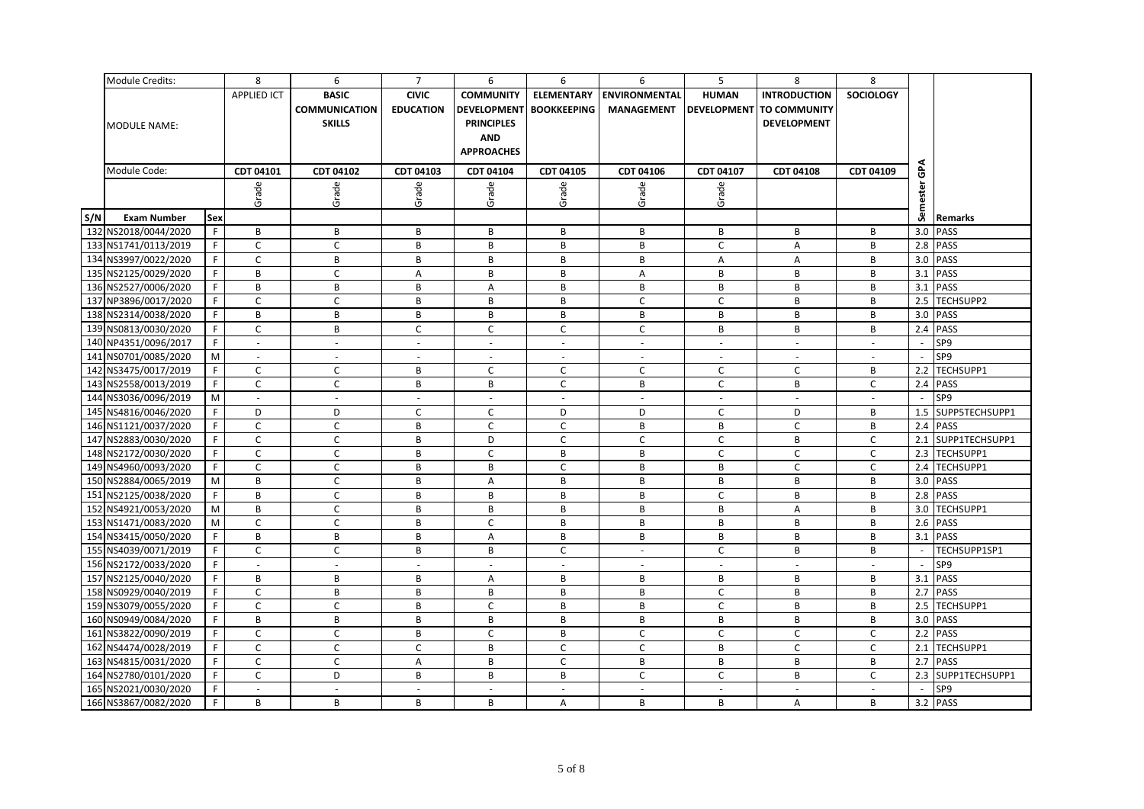|     | Module Credits:      |     | 8                        | 6                    | $\overline{7}$           | 6                        | 6                        | 6                        | 5            | 8                        | 8                |        |                    |
|-----|----------------------|-----|--------------------------|----------------------|--------------------------|--------------------------|--------------------------|--------------------------|--------------|--------------------------|------------------|--------|--------------------|
|     |                      |     | <b>APPLIED ICT</b>       | <b>BASIC</b>         | <b>CIVIC</b>             | <b>COMMUNITY</b>         | <b>ELEMENTARY</b>        | <b>ENVIRONMENTAL</b>     | <b>HUMAN</b> | <b>INTRODUCTION</b>      | <b>SOCIOLOGY</b> |        |                    |
|     |                      |     |                          | <b>COMMUNICATION</b> | <b>EDUCATION</b>         | <b>DEVELOPMENT</b>       | <b>BOOKKEEPING</b>       | <b>MANAGEMENT</b>        |              | DEVELOPMENT TO COMMUNITY |                  |        |                    |
|     | <b>MODULE NAME:</b>  |     |                          | <b>SKILLS</b>        |                          | <b>PRINCIPLES</b>        |                          |                          |              | <b>DEVELOPMENT</b>       |                  |        |                    |
|     |                      |     |                          |                      |                          | <b>AND</b>               |                          |                          |              |                          |                  |        |                    |
|     |                      |     |                          |                      |                          | <b>APPROACHES</b>        |                          |                          |              |                          |                  |        |                    |
|     |                      |     |                          |                      |                          |                          |                          |                          |              |                          |                  |        |                    |
|     | Module Code:         |     | CDT 04101                | CDT 04102            | CDT 04103                | CDT 04104                | CDT 04105                | CDT 04106                | CDT 04107    | CDT 04108                | CDT 04109        | ဇ      |                    |
|     |                      |     | Grade                    | Grade                | Grade                    | Grade                    | Grade                    | Grade                    | Grade        |                          |                  | ä      |                    |
|     |                      |     |                          |                      |                          |                          |                          |                          |              |                          |                  |        |                    |
| S/N | <b>Exam Number</b>   | Sex |                          |                      |                          |                          |                          |                          |              |                          |                  | Sem    | Remarks            |
|     | 132 NS2018/0044/2020 | F   | В                        | B                    | B                        | В                        | B                        | В                        | В            | В                        | В                |        | 3.0 PASS           |
|     | 133 NS1741/0113/2019 | F.  | C                        | C                    | B                        | В                        | B                        | В                        | C            | Α                        | В                |        | 2.8 PASS           |
|     | 134 NS3997/0022/2020 | F.  | $\mathsf C$              | B                    | B                        | B                        | B                        | B                        | A            | Α                        | B                |        | 3.0 PASS           |
|     | 135 NS2125/0029/2020 | F.  | B                        | $\mathsf{C}$         | Α                        | В                        | B                        | Α                        | B            | В                        | В                | 3.1    | <b>PASS</b>        |
|     | 136 NS2527/0006/2020 | F.  | B                        | В                    | B                        | A                        | B                        | В                        | В            | B                        | B                |        | 3.1 PASS           |
|     | 137 NP3896/0017/2020 | F.  | C                        | $\mathsf{C}$         | B                        | B                        | B                        | $\mathsf{C}$             | C            | B                        | B                |        | 2.5 TECHSUPP2      |
|     | 138 NS2314/0038/2020 | F.  | B                        | В                    | В                        | В                        | В                        | B                        | В            | В                        | В                |        | 3.0 PASS           |
|     | 139 NS0813/0030/2020 | F.  | $\mathsf{C}$             | В                    | C                        | C                        | $\mathsf{C}$             | $\mathsf{C}$             | В            | В                        | В                |        | 2.4 PASS           |
|     | 140 NP4351/0096/2017 | F   | $\sim$                   | $\sim$               | $\sim$                   | $\omega$                 | $\sim$                   | $\sim$                   | $\sim$       | $\sim$                   | $\sim$           |        | SP9                |
|     | 141 NS0701/0085/2020 | M   | $\sim$                   | $\sim$               | $\overline{\phantom{a}}$ | $\sim$                   | $\overline{\phantom{a}}$ | $\sim$                   | $\sim$       | $\sim$                   | $\overline{a}$   |        | SP9                |
|     | 142 NS3475/0017/2019 | F.  | $\mathsf{C}$             | C                    | B                        | C                        | C                        | $\mathsf{C}$             | $\mathsf{C}$ | C                        | B                |        | 2.2 TECHSUPP1      |
|     | 143 NS2558/0013/2019 | F.  | $\mathsf{C}$             | $\mathsf{C}$         | В                        | В                        | $\mathsf{C}$             | B                        | $\mathsf{C}$ | В                        | C                |        | 2.4 PASS           |
|     | 144 NS3036/0096/2019 | M   | $\sim$                   |                      | $\sim$                   | $\omega$                 | $\sim$                   | $\sim$                   | $\omega$     | $\omega$                 |                  |        | SP9                |
|     | 145 NS4816/0046/2020 | F   | D                        | D                    | C                        | C                        | D                        | D                        | C            | D                        | B                |        | 1.5 SUPP5TECHSUPP1 |
|     | 146 NS1121/0037/2020 | F.  | C                        | C                    | B                        | C                        | $\mathsf{C}$             | В                        | В            | C                        | В                |        | 2.4 PASS           |
|     | 147 NS2883/0030/2020 | F   | $\mathsf{C}$             | $\mathsf{C}$         | B                        | D                        | $\mathsf{C}$             | $\mathsf{C}$             | C            | В                        | C                |        | 2.1 SUPP1TECHSUPP1 |
|     | 148 NS2172/0030/2020 | F   | $\mathsf{C}$             | $\mathsf{C}$         | B                        | $\mathsf C$              | B                        | B                        | $\mathsf{C}$ | $\mathsf{C}$             | C                |        | 2.3 TECHSUPP1      |
|     | 149 NS4960/0093/2020 | F.  | C                        | C                    | B                        | B                        | C                        | В                        | В            | C                        | C                |        | 2.4 TECHSUPP1      |
|     | 150 NS2884/0065/2019 | M   | B                        | $\mathsf{C}$         | B                        | A                        | $\, {\bf B}$             | B                        | B            | В                        | B                |        | 3.0 PASS           |
|     | 151 NS2125/0038/2020 | F   | B                        | $\mathsf{C}$         | B                        | B                        | B                        | B                        | $\mathsf{C}$ | B                        | B                |        | 2.8 PASS           |
|     | 152 NS4921/0053/2020 | M   | B                        | $\mathsf{C}$         | B                        | В                        | B                        | В                        | B            | Α                        | B                |        | 3.0 TECHSUPP1      |
|     | 153 NS1471/0083/2020 | M   | $\mathsf{C}$             | $\mathsf{C}$         | B                        | C                        | B                        | В                        | B            | В                        | В                |        | 2.6 PASS           |
|     | 154 NS3415/0050/2020 | F.  | B                        | В                    | В                        | A                        | В                        | B                        | В            | В                        | В                |        | 3.1 PASS           |
|     | 155 NS4039/0071/2019 | F.  | $\mathsf{C}$             | $\mathsf{C}$         | B                        | B                        | $\mathsf{C}$             | $\sim$                   | C            | В                        | B                | $\sim$ | TECHSUPP1SP1       |
|     | 156 NS2172/0033/2020 | F.  | $\omega$                 | $\sim$               | $\sim$                   | $\omega$                 | $\sim$                   | $\sim$                   | $\sim$       | $\sim$                   | $\sim$           |        | SP9                |
|     | 157 NS2125/0040/2020 | F.  | B                        | B                    | B                        | A                        | B                        | B                        | B            | B                        | B                |        | 3.1 PASS           |
|     | 158 NS0929/0040/2019 | F.  | C                        | В                    | B                        | В                        | B                        | B                        | $\mathsf{C}$ | В                        | B                |        | 2.7 PASS           |
|     | 159 NS3079/0055/2020 | F.  | $\mathsf{C}$             | $\mathsf{C}$         | В                        | $\mathsf C$              | B                        | B                        | $\mathsf{C}$ | В                        | В                |        | 2.5 TECHSUPP1      |
|     | 160 NS0949/0084/2020 | F.  | B                        | B                    | B                        | В                        | B                        | В                        | В            | В                        | В                |        | 3.0 PASS           |
|     | 161 NS3822/0090/2019 | F   | $\mathsf{C}$             | $\mathsf{C}$         | B                        | $\mathsf{C}$             | B                        | $\mathsf{C}$             | $\mathsf{C}$ | $\mathsf C$              | $\mathsf{C}$     |        | 2.2 PASS           |
|     | 162 NS4474/0028/2019 | F.  | $\mathsf{C}$             | $\mathsf{C}$         | C                        | В                        | $\mathsf{C}$             | $\mathsf{C}$             | В            | $\mathsf{C}$             | C                | 2.1    | TECHSUPP1          |
|     | 163 NS4815/0031/2020 | F.  | $\mathsf{C}$             | $\mathsf{C}$         | Α                        | B                        | $\mathsf{C}$             | В                        | B            | В                        | В                | 2.7    | <b>PASS</b>        |
|     | 164 NS2780/0101/2020 | F.  | $\mathsf{C}$             | D                    | В                        | В                        | B                        | $\mathsf{C}$             | $\mathsf{C}$ | В                        | C                |        | 2.3 SUPP1TECHSUPP1 |
|     | 165 NS2021/0030/2020 | F.  | $\overline{\phantom{a}}$ | $\blacksquare$       | $\overline{\phantom{a}}$ | $\overline{\phantom{a}}$ | $\overline{\phantom{a}}$ | $\overline{\phantom{a}}$ | $\sim$       | $\overline{\phantom{a}}$ | $\sim$           | $\sim$ | SP9                |
|     | 166 NS3867/0082/2020 | F.  | B                        | B                    | B                        | B                        | A                        | B                        | B            | A                        | B                |        | 3.2 PASS           |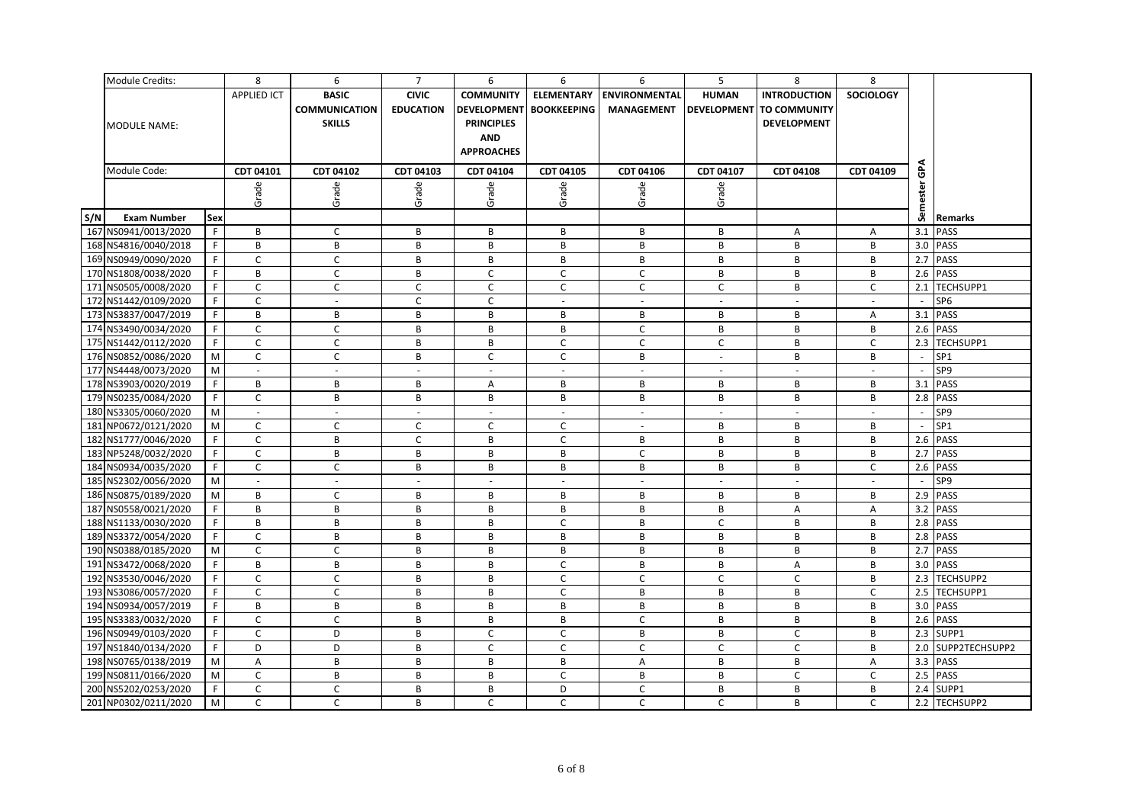|     | Module Credits:      |     | 8                  | 6                    | $\overline{7}$   | 6                  | 6                  | 6                    | 5                        | 8                        | 8                |     |                    |
|-----|----------------------|-----|--------------------|----------------------|------------------|--------------------|--------------------|----------------------|--------------------------|--------------------------|------------------|-----|--------------------|
|     |                      |     | <b>APPLIED ICT</b> | <b>BASIC</b>         | <b>CIVIC</b>     | <b>COMMUNITY</b>   | <b>ELEMENTARY</b>  | <b>ENVIRONMENTAL</b> | <b>HUMAN</b>             | <b>INTRODUCTION</b>      | <b>SOCIOLOGY</b> |     |                    |
|     |                      |     |                    | <b>COMMUNICATION</b> | <b>EDUCATION</b> | <b>DEVELOPMENT</b> | <b>BOOKKEEPING</b> | <b>MANAGEMENT</b>    |                          | DEVELOPMENT TO COMMUNITY |                  |     |                    |
|     | <b>MODULE NAME:</b>  |     |                    | <b>SKILLS</b>        |                  | <b>PRINCIPLES</b>  |                    |                      |                          | DEVELOPMENT              |                  |     |                    |
|     |                      |     |                    |                      |                  | <b>AND</b>         |                    |                      |                          |                          |                  |     |                    |
|     |                      |     |                    |                      |                  | <b>APPROACHES</b>  |                    |                      |                          |                          |                  |     |                    |
|     |                      |     |                    |                      |                  |                    |                    |                      |                          |                          |                  |     |                    |
|     | Module Code:         |     | CDT 04101          | CDT 04102            | CDT 04103        | CDT 04104          | CDT 04105          | CDT 04106            | CDT 04107                | CDT 04108                | CDT 04109        | ဇ   |                    |
|     |                      |     | Grade              | Grade                | Grade            | Grade              | Grade              | Grade                | Grade                    |                          |                  | ä   |                    |
|     |                      |     |                    |                      |                  |                    |                    |                      |                          |                          |                  |     |                    |
| S/N | <b>Exam Number</b>   | Sex |                    |                      |                  |                    |                    |                      |                          |                          |                  | Sem | <b>Remarks</b>     |
|     | 167 NS0941/0013/2020 | F   | B                  | $\mathsf{C}$         | B                | B                  | B                  | B                    | B                        | Α                        | Α                |     | 3.1 PASS           |
|     | 168 NS4816/0040/2018 | F   | B                  | B                    | B                | B                  | B                  | В                    | В                        | В                        | B                |     | 3.0 PASS           |
|     | 169 NS0949/0090/2020 | F.  | $\mathsf C$        | $\mathsf{C}$         | B                | В                  | B                  | В                    | B                        | B                        | В                |     | 2.7 PASS           |
|     | 170 NS1808/0038/2020 | F.  | B                  | $\mathsf{C}$         | В                | C                  | C                  | $\mathsf{C}$         | В                        | В                        | В                |     | 2.6 PASS           |
|     | 171 NS0505/0008/2020 | F.  | C                  | $\mathsf{C}$         | C                | C                  | $\mathsf{C}$       | $\mathsf{C}$         | $\mathsf C$              | B                        | C                |     | 2.1 TECHSUPP1      |
|     | 172 NS1442/0109/2020 | F.  | $\mathsf{C}$       | $\omega$             | $\mathsf{C}$     | $\mathsf{C}$       | $\mathbf{r}$       | $\omega$             | $\omega$                 | $\sim$                   | $\equiv$         | ÷.  | SP <sub>6</sub>    |
|     | 173 NS3837/0047/2019 | F.  | B                  | В                    | B                | В                  | В                  | В                    | B                        | В                        | Α                |     | 3.1 PASS           |
|     | 174 NS3490/0034/2020 | F.  | $\mathsf{C}$       | $\mathsf{C}$         | В                | В                  | B                  | $\mathsf{C}$         | B                        | B                        | В                |     | 2.6 PASS           |
|     | 175 NS1442/0112/2020 | F.  | $\mathsf{C}$       | $\mathsf C$          | B                | В                  | $\mathsf C$        | $\mathsf C$          | $\mathsf C$              | B                        | $\mathsf{C}$     |     | 2.3 TECHSUPP1      |
|     | 176 NS0852/0086/2020 | M   | $\mathsf{C}$       | C                    | В                | C                  | C                  | В                    | $\sim$                   | B                        | В                |     | SP1                |
|     | 177 NS4448/0073/2020 | M   | $\omega$           | $\omega$             | $\sim$           | $\omega$           | $\sim$             | $\omega$             | $\overline{\phantom{a}}$ | $\omega$                 | $\sim$           |     | SP9                |
|     | 178 NS3903/0020/2019 | F   | B                  | B                    | B                | $\overline{A}$     | B                  | B                    | B                        | B                        | B                |     | 3.1 PASS           |
|     | 179 NS0235/0084/2020 | F   | $\mathsf{C}$       | В                    | В                | В                  | В                  | В                    | В                        | В                        | B                |     | 2.8 PASS           |
|     | 180 NS3305/0060/2020 | M   | $\sim$             | $\sim$               | $\sim$           | $\omega$           |                    | $\sim$               | $\omega$                 | $\sim$                   | $\sim$           |     | SP9                |
|     | 181 NP0672/0121/2020 | M   | $\mathsf C$        | C                    | C                | С                  | $\mathsf C$        | $\sim$               | B                        | В                        | В                |     | SP1                |
|     | 182 NS1777/0046/2020 | F.  | $\mathsf{C}$       | B                    | C                | B                  | $\mathsf{C}$       | B                    | B                        | B                        | B                |     | 2.6 PASS           |
|     | 183 NP5248/0032/2020 | F   | $\mathsf C$        | B                    | B                | В                  | B                  | $\mathsf C$          | B                        | B                        | В                |     | 2.7 PASS           |
|     | 184 NS0934/0035/2020 | F.  | $\mathsf{C}$       | C                    | B                | В                  | B                  | B                    | В                        | В                        | C                |     | 2.6 PASS           |
|     | 185 NS2302/0056/2020 | M   | $\sim$             | $\sim$               | $\sim$           | $\sim$             | $\sim$             | $\sim$               | $\sim$                   | $\sim$                   | $\sim$           |     | SP9                |
|     | 186 NS0875/0189/2020 | M   | B                  | $\mathsf{C}$         | В                | В                  | B                  | В                    | В                        | В                        | В                |     | 2.9 PASS           |
|     | 187 NS0558/0021/2020 | F.  | B                  | В                    | В                | В                  | B                  | В                    | В                        | Α                        | Α                |     | 3.2 PASS           |
|     | 188 NS1133/0030/2020 | F   | B                  | B                    | B                | B                  | $\mathsf{C}$       | B                    | $\mathsf{C}$             | B                        | B                |     | 2.8 PASS           |
|     | 189 NS3372/0054/2020 | F   | $\mathsf C$        | В                    | B                | В                  | B                  | B                    | B                        | B                        | B                |     | 2.8 PASS           |
|     | 190 NS0388/0185/2020 | M   | $\mathsf{C}$       | C                    | B                | B                  | B                  | B                    | B                        | B                        | B                |     | 2.7 PASS           |
|     | 191 NS3472/0068/2020 | F   | B                  | B                    | B                | B                  | $\mathsf{C}$       | B                    | В                        | Α                        | B                |     | 3.0 PASS           |
|     | 192 NS3530/0046/2020 | F.  | $\mathsf{C}$       | C                    | B                | B                  | $\mathsf{C}$       | $\mathsf{C}$         | C                        | $\mathsf{C}$             | В                |     | 2.3 TECHSUPP2      |
|     | 193 NS3086/0057/2020 | F.  | $\mathsf C$        | $\mathsf C$          | B                | B                  | $\mathsf C$        | B                    | B                        | B                        | $\mathsf C$      |     | 2.5 TECHSUPP1      |
|     | 194 NS0934/0057/2019 | F.  | B                  | В                    | B                | В                  | B                  | В                    | B                        | B                        | B                |     | 3.0 PASS           |
|     | 195 NS3383/0032/2020 | F.  | $\mathsf{C}$       | C                    | В                | В                  | B                  | $\mathsf{C}$         | В                        | В                        | B                |     | 2.6 PASS           |
|     | 196 NS0949/0103/2020 | F   | $\mathsf{C}$       | D                    | B                | C                  | $\mathsf{C}$       | B                    | B                        | $\mathsf{C}$             | B                |     | 2.3 SUPP1          |
|     | 197 NS1840/0134/2020 | F.  | D                  | D                    | В                | C                  | C                  | $\mathsf{C}$         | $\mathsf{C}$             | $\mathsf{C}$             | B                |     | 2.0 SUPP2TECHSUPP2 |
|     | 198 NS0765/0138/2019 | M   | A                  | В                    | B                | В                  | B                  | A                    | В                        | B                        | A                |     | 3.3 PASS           |
|     | 199 NS0811/0166/2020 | M   | $\mathsf{C}$       | B                    | B                | B                  | C                  | B                    | B                        | $\mathsf{C}$             | C                |     | 2.5 PASS           |
|     | 200 NS5202/0253/2020 | F.  | $\mathsf{C}$       | C                    | B                | B                  | D                  | $\mathsf{C}$         | B                        | B                        | B                |     | 2.4 SUPP1          |
|     | 201 NP0302/0211/2020 | M   | $\mathsf{C}$       | $\mathsf{C}$         | B                | $\mathsf{C}$       | $\mathsf{C}$       | $\mathsf{C}$         | $\mathsf{C}$             | B                        | $\mathsf{C}$     |     | 2.2 TECHSUPP2      |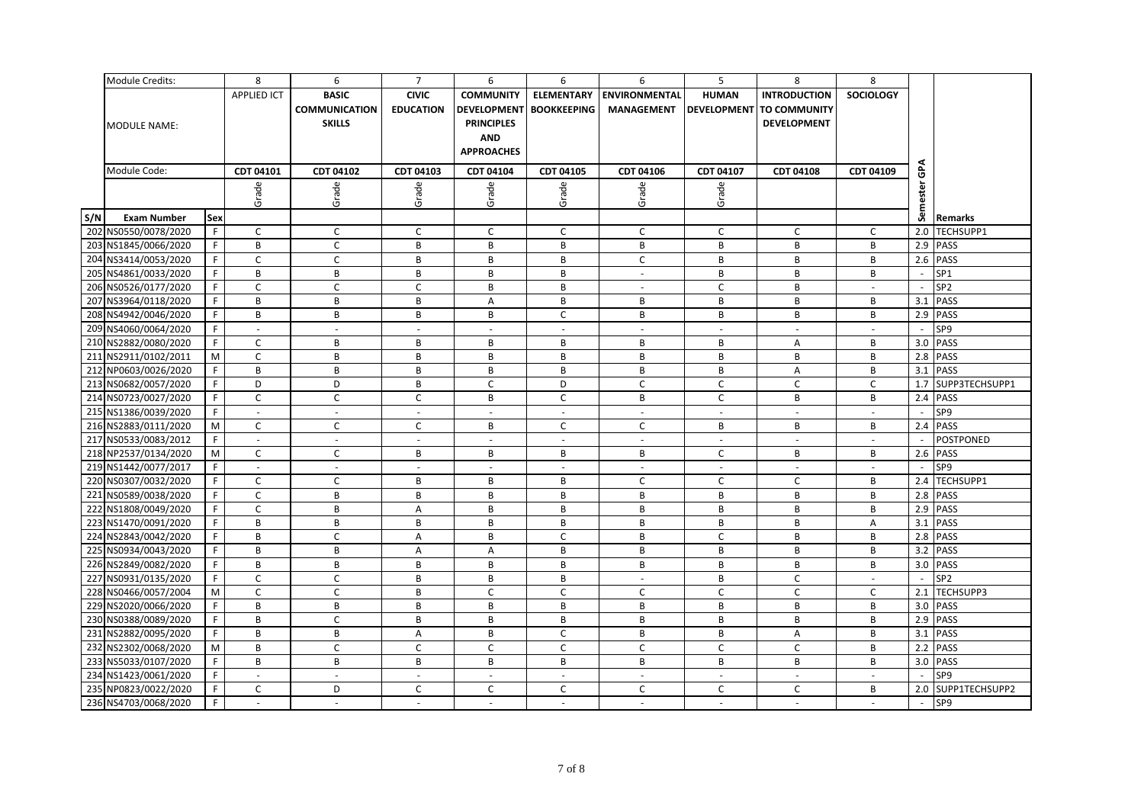|     | Module Credits:      |     | 8                        | 6                        | $\overline{7}$   | 6                         | 6                        | 6                        | 5                        | 8                               | 8                |                          |                 |
|-----|----------------------|-----|--------------------------|--------------------------|------------------|---------------------------|--------------------------|--------------------------|--------------------------|---------------------------------|------------------|--------------------------|-----------------|
|     |                      |     | <b>APPLIED ICT</b>       | <b>BASIC</b>             | <b>CIVIC</b>     | <b>COMMUNITY</b>          | <b>ELEMENTARY</b>        | <b>ENVIRONMENTAL</b>     | <b>HUMAN</b>             | <b>INTRODUCTION</b>             | <b>SOCIOLOGY</b> |                          |                 |
|     |                      |     |                          | <b>COMMUNICATION</b>     | <b>EDUCATION</b> | <b>DEVELOPMENT</b>        | <b>BOOKKEEPING</b>       | <b>MANAGEMENT</b>        |                          | <b>DEVELOPMENT TO COMMUNITY</b> |                  |                          |                 |
|     | <b>MODULE NAME:</b>  |     |                          | <b>SKILLS</b>            |                  | <b>PRINCIPLES</b>         |                          |                          |                          | <b>DEVELOPMENT</b>              |                  |                          |                 |
|     |                      |     |                          |                          |                  | <b>AND</b>                |                          |                          |                          |                                 |                  |                          |                 |
|     |                      |     |                          |                          |                  | <b>APPROACHES</b>         |                          |                          |                          |                                 |                  |                          |                 |
|     |                      |     |                          |                          |                  |                           |                          |                          |                          |                                 |                  |                          |                 |
|     | Module Code:         |     | CDT 04101                | CDT 04102                | CDT 04103        | CDT 04104                 | CDT 04105                | CDT 04106                | CDT 04107                | <b>CDT 04108</b>                | CDT 04109        | ဇ                        |                 |
|     |                      |     | Grade                    | Grade                    | Grade            | Grade                     | Grade                    | Grade                    | Grade                    |                                 |                  | ester                    |                 |
|     |                      |     |                          |                          |                  |                           |                          |                          |                          |                                 |                  |                          |                 |
| S/N | <b>Exam Number</b>   | Sex |                          |                          |                  |                           |                          |                          |                          |                                 |                  | Sem                      | Remarks         |
|     | 202 NS0550/0078/2020 | F.  | C                        | C                        | $\mathsf{C}$     | C                         | $\mathsf{C}$             | $\mathsf{C}$             | C                        | C                               | C                | 2.0                      | TECHSUPP1       |
|     | 203 NS1845/0066/2020 | F.  | B                        | C                        | В                | В                         | B                        | В                        | В                        | В                               | в                |                          | 2.9 PASS        |
|     | 204 NS3414/0053/2020 | F.  | $\mathsf{C}$             | $\mathsf{C}$             | B                | B                         | B                        | $\mathsf{C}$             | B                        | B                               | B                |                          | 2.6 PASS        |
|     | 205 NS4861/0033/2020 | F.  | B                        | В                        | В                | B                         | B                        | $\sim$                   | B                        | B                               | B                | $\overline{a}$           | SP <sub>1</sub> |
|     | 206 NS0526/0177/2020 | F   | C                        | C                        | $\mathsf{C}$     | B                         | B                        | $\sim$                   | C                        | B                               | $\sim$           | $\overline{\phantom{a}}$ | SP <sub>2</sub> |
|     | 207 NS3964/0118/2020 | F.  | B                        | В                        | B                | $\boldsymbol{\mathsf{A}}$ | B                        | В                        | B                        | B                               | В                | 3.1                      | <b>PASS</b>     |
|     | 208 NS4942/0046/2020 | F.  | B                        | В                        | В                | B                         | $\mathsf C$              | В                        | B                        | B                               | B                |                          | 2.9 PASS        |
|     | 209 NS4060/0064/2020 | F.  | $\sim$                   | $\sim$                   | $\sim$           | $\sim$                    | $\overline{\phantom{a}}$ | $\sim$                   | $\sim$                   | $\sim$                          | $\sim$           | $\sim$                   | SP9             |
|     | 210 NS2882/0080/2020 | F   | $\mathsf{C}$             | B                        | B                | B                         | B                        | В                        | B                        | Α                               | B                |                          | 3.0 PASS        |
|     | 211 NS2911/0102/2011 | M   | C                        | В                        | В                | В                         | B                        | В                        | В                        | B                               | в                |                          | 2.8 PASS        |
|     | 212 NP0603/0026/2020 | F.  | B                        | B                        | B                | B                         | B                        | B                        | B                        | A                               | B                |                          | 3.1 PASS        |
|     | 213 NS0682/0057/2020 | F.  | D                        | D                        | В                | $\mathsf C$               | D                        | $\mathsf{C}$             | $\mathsf{C}$             | $\mathsf C$                     | $\mathsf C$      | 1.7                      | SUPP3TECHSUPP1  |
|     | 214 NS0723/0027/2020 | F.  | C                        | $\mathsf C$              | C                | B                         | $\mathsf C$              | В                        | C                        | B                               | B                |                          | 2.4 PASS        |
|     | 215 NS1386/0039/2020 | F.  | $\sim$                   | $\sim$                   | $\sim$           | $\blacksquare$            | $\sim$                   | $\sim$                   | $\sim$                   | $\sim$                          |                  |                          | SP9             |
|     | 216 NS2883/0111/2020 | M   | C                        | C                        | C                | B                         | C                        | C                        | B                        | В                               | в                |                          | 2.4 PASS        |
|     | 217 NS0533/0083/2012 | F.  | $\overline{\phantom{a}}$ | $\sim$                   | $\sim$           | $\sim$                    | $\overline{\phantom{a}}$ | $\sim$                   | $\sim$                   | $\sim$                          | $\sim$           |                          | POSTPONED       |
|     | 218 NP2537/0134/2020 | M   | $\mathsf{C}$             | $\mathsf C$              | В                | B                         | B                        | В                        | C                        | B                               | B                |                          | 2.6 PASS        |
|     | 219 NS1442/0077/2017 | F.  | $\overline{\phantom{a}}$ | $\blacksquare$           | $\blacksquare$   | $\blacksquare$            | $\blacksquare$           | $\overline{\phantom{a}}$ | $\overline{\phantom{a}}$ | $\sim$                          | $\sim$           |                          | SP9             |
|     | 220 NS0307/0032/2020 | F   | $\mathsf C$              | $\mathsf{C}$             | B                | B                         | B                        | $\mathsf{C}$             | C                        | $\mathsf C$                     | B                |                          | 2.4 TECHSUPP1   |
|     | 221 NS0589/0038/2020 | F.  | $\mathsf C$              | В                        | B                | B                         | B                        | B                        | В                        | B                               | в                | 2.8                      | <b>PASS</b>     |
|     | 222 NS1808/0049/2020 | F.  | C                        | В                        | Α                | B                         | B                        | B                        | B                        | B                               | B                |                          | 2.9 PASS        |
|     | 223 NS1470/0091/2020 | F.  | B                        | В                        | B                | B                         | B                        | B                        | B                        | B                               | Α                |                          | 3.1 PASS        |
|     | 224 NS2843/0042/2020 | F.  | B                        | C                        | A                | B                         | $\mathsf C$              | B                        | C                        | B                               | B                |                          | 2.8 PASS        |
|     | 225 NS0934/0043/2020 | F.  | B                        | В                        | A                | A                         | B                        | B                        | B                        | B                               | B                | 3.2                      | <b>PASS</b>     |
|     | 226 NS2849/0082/2020 | F.  | B                        | B                        | B                | B                         | B                        | В                        | B                        | B                               | B                |                          | 3.0 PASS        |
|     | 227 NS0931/0135/2020 | F   | C                        | C                        | B                | B                         | B                        | $\sim$                   | B                        | $\mathsf C$                     | $\sim$           |                          | SP <sub>2</sub> |
|     | 228 NS0466/0057/2004 | M   | $\mathsf C$              | $\mathsf C$              | B                | $\mathsf C$               | $\mathsf C$              | C                        | C                        | $\mathsf C$                     | C                |                          | 2.1 TECHSUPP3   |
|     | 229 NS2020/0066/2020 | F.  | B                        | В                        | В                | B                         | B                        | B                        | B                        | B                               | B                |                          | 3.0 PASS        |
|     | 230 NS0388/0089/2020 | F.  | B                        | C                        | B                | B                         | B                        | В                        | B                        | B                               | B                |                          | 2.9 PASS        |
|     | 231 NS2882/0095/2020 | F.  | B                        | B                        | $\overline{A}$   | B                         | $\mathsf{C}$             | B                        | B                        | A                               | B                | 3.1                      | <b>PASS</b>     |
|     | 232 NS2302/0068/2020 | M   | B                        | C                        | C                | C                         | C                        | C                        | $\mathsf{C}$             | C                               | в                |                          | 2.2 PASS        |
|     | 233 NS5033/0107/2020 | F.  | B                        | В                        | B                | B                         | B                        | В                        | В                        | B                               | В                | 3.0                      | <b>PASS</b>     |
|     | 234 NS1423/0061/2020 | F   | $\omega$                 | $\omega$                 | $\mathbb{Z}^2$   | $\omega$                  | $\sim$                   | $\mathbb{Z}^2$           | $\Box$                   | $\omega$                        | $\sim$           |                          | SP9             |
|     | 235 NP0823/0022/2020 | F.  | $\mathsf{C}$             | D                        | C                | C                         | C                        | C                        | C                        | C                               | В                | 2.0                      | SUPP1TECHSUPP2  |
|     | 236 NS4703/0068/2020 | F.  | $\overline{\phantom{a}}$ | $\overline{\phantom{a}}$ | $\sim$           | $\overline{\phantom{a}}$  | $\sim$                   | $\overline{\phantom{a}}$ | $\sim$                   | $\sim$                          |                  | $\overline{\phantom{a}}$ | SP9             |